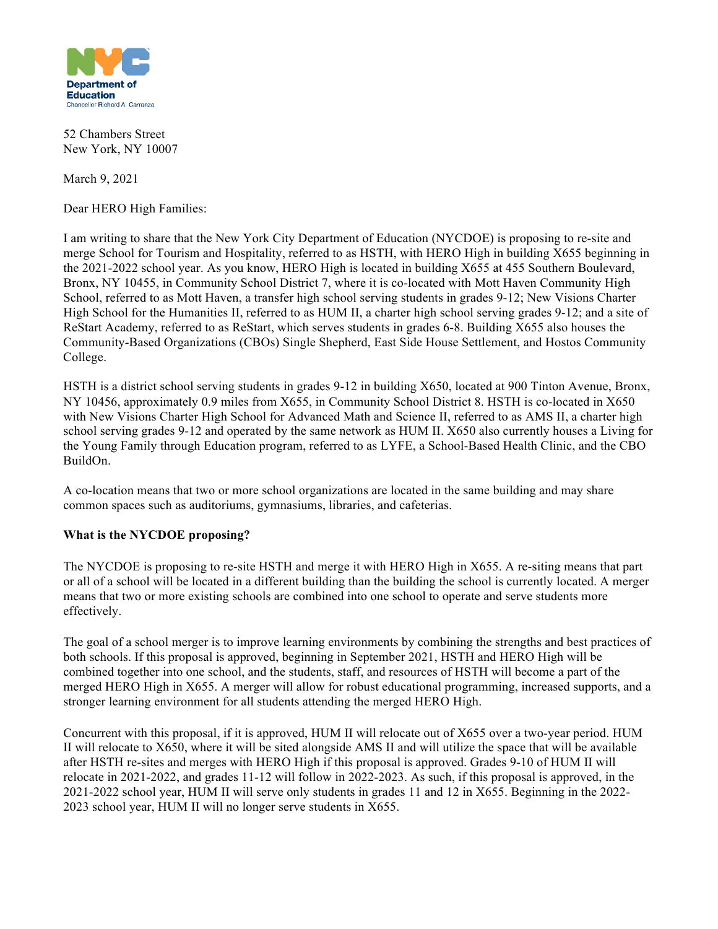

52 Chambers Street New York, NY 10007

March 9, 2021

Dear HERO High Families:

 I am writing to share that the New York City Department of Education (NYCDOE) is proposing to re-site and merge School for Tourism and Hospitality, referred to as HSTH, with HERO High in building X655 beginning in the 2021-2022 school year. As you know, HERO High is located in building X655 at 455 Southern Boulevard, Bronx, NY 10455, in Community School District 7, where it is co-located with Mott Haven Community High School, referred to as Mott Haven, a transfer high school serving students in grades 9-12; New Visions Charter High School for the Humanities II, referred to as HUM II, a charter high school serving grades 9-12; and a site of ReStart Academy, referred to as ReStart, which serves students in grades 6-8. Building X655 also houses the Community-Based Organizations (CBOs) Single Shepherd, East Side House Settlement, and Hostos Community College.

College.<br>HSTH is a district school serving students in grades 9-12 in building X650, located at 900 Tinton Avenue, Bronx, NY 10456, approximately 0.9 miles from X655, in Community School District 8. HSTH is co-located in X650 with New Visions Charter High School for Advanced Math and Science II, referred to as AMS II, a charter high school serving grades 9-12 and operated by the same network as HUM II. X650 also currently houses a Living for the Young Family through Education program, referred to as LYFE, a School-Based Health Clinic, and the CBO BuildOn.

 A co-location means that two or more school organizations are located in the same building and may share common spaces such as auditoriums, gymnasiums, libraries, and cafeterias.

## **What is the NYCDOE proposing?**

 The NYCDOE is proposing to re-site HSTH and merge it with HERO High in X655. A re-siting means that part or all of a school will be located in a different building than the building the school is currently located. A merger means that two or more existing schools are combined into one school to operate and serve students more effectively.

 The goal of a school merger is to improve learning environments by combining the strengths and best practices of both schools. If this proposal is approved, beginning in September 2021, HSTH and HERO High will be combined together into one school, and the students, staff, and resources of HSTH will become a part of the merged HERO High in X655. A merger will allow for robust educational programming, increased supports, and a stronger learning environment for all students attending the merged HERO High.

 Concurrent with this proposal, if it is approved, HUM II will relocate out of X655 over a two-year period. HUM II will relocate to X650, where it will be sited alongside AMS II and will utilize the space that will be available after HSTH re-sites and merges with HERO High if this proposal is approved. Grades 9-10 of HUM II will relocate in 2021-2022, and grades 11-12 will follow in 2022-2023. As such, if this proposal is approved, in the 2021-2022 school year, HUM II will serve only students in grades 11 and 12 in X655. Beginning in the 2022- 2023 school year, HUM II will no longer serve students in X655.